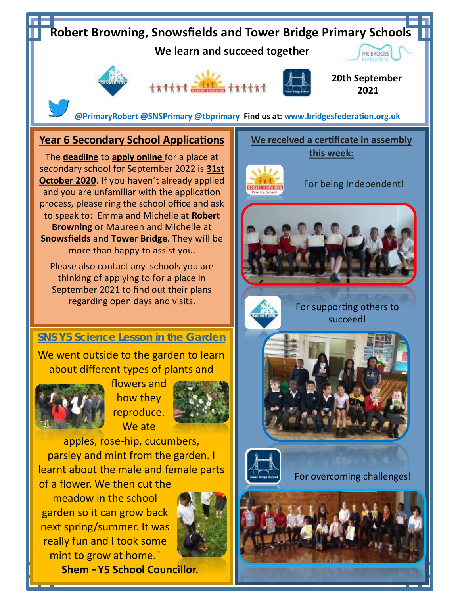

**Shem - Y5 School Councillor.**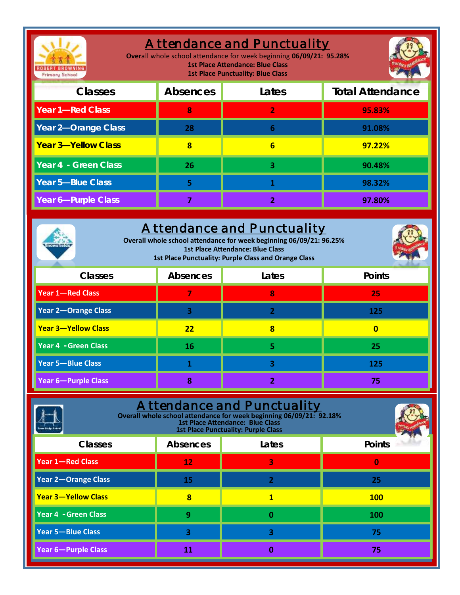| <b>Attendance and Punctuality</b><br>Overall whole school attendance for week beginning 06/09/21: 95.28%<br><b>1st Place Attendance: Blue Class</b><br><b>1st Place Punctuality: Blue Class</b><br><b>Primary School</b> |                         |                         |                         |
|--------------------------------------------------------------------------------------------------------------------------------------------------------------------------------------------------------------------------|-------------------------|-------------------------|-------------------------|
| Classes                                                                                                                                                                                                                  | Absences                | Lates                   | <b>Total Attendance</b> |
| Year 1-Red Class                                                                                                                                                                                                         | 8                       | $\overline{2}$          | 95.83%                  |
| Year 2-Orange Class                                                                                                                                                                                                      | 28                      | 6                       | 91.08%                  |
| Year 3-Yellow Class                                                                                                                                                                                                      | $\overline{\mathbf{8}}$ | $6\overline{}$          | 97.22%                  |
| Year 4 - Green Class                                                                                                                                                                                                     | 26                      | 3                       | 90.48%                  |
| Year 5-Blue Class                                                                                                                                                                                                        | 5                       | 1.                      | 98.32%                  |
| Year 6-Purple Class                                                                                                                                                                                                      | 7                       | 2                       | 97.80%                  |
| <b>Attendance and Punctuality</b><br>Overall whole school attendance for week beginning 06/09/21: 96.25%<br><b>1st Place Attendance: Blue Class</b><br>1st Place Punctuality: Purple Class and Orange Class              |                         |                         |                         |
| Classes                                                                                                                                                                                                                  | Absences                | Lates                   | Points                  |
| <b>Year 1-Red Class</b>                                                                                                                                                                                                  | 7                       | 8                       | 25                      |
| <b>Year 2-Orange Class</b>                                                                                                                                                                                               | 3                       | $\overline{2}$          | 125                     |
| <b>Year 3-Yellow Class</b>                                                                                                                                                                                               | 22                      | 8                       | $\overline{\mathbf{0}}$ |
| <b>Year 4 - Green Class</b>                                                                                                                                                                                              | 16                      | 5                       | 25                      |
| <b>Year 5-Blue Class</b>                                                                                                                                                                                                 | 1                       | 3                       | 125                     |
| <b>Year 6-Purple Class</b>                                                                                                                                                                                               | 8                       | 2                       | 75                      |
| <u>A ttendance and Punctuality</u><br>Overall whole school attendance for week beginning 06/09/21: 92.18%<br>1st Place Attendance: Blue Class<br><b>1st Place Punctuality: Purple Class</b>                              |                         |                         |                         |
| Classes                                                                                                                                                                                                                  | Absences                | Lates                   | Points                  |
| <b>Year 1-Red Class</b>                                                                                                                                                                                                  | 12                      | 3                       | $\bf{0}$                |
| <b>Year 2-Orange Class</b>                                                                                                                                                                                               | 15                      | $\overline{2}$          | 25                      |
| <b>Year 3-Yellow Class</b>                                                                                                                                                                                               | $\overline{\mathbf{8}}$ | $\overline{\mathbf{1}}$ | <b>100</b>              |
| <b>Year 4 - Green Class</b>                                                                                                                                                                                              | 9                       | $\bf{0}$                | 100                     |
| <b>Year 5-Blue Class</b>                                                                                                                                                                                                 | 3                       | 3                       | 75                      |
| Year 6-Purple Class                                                                                                                                                                                                      | 11                      | $\bf{0}$                | 75                      |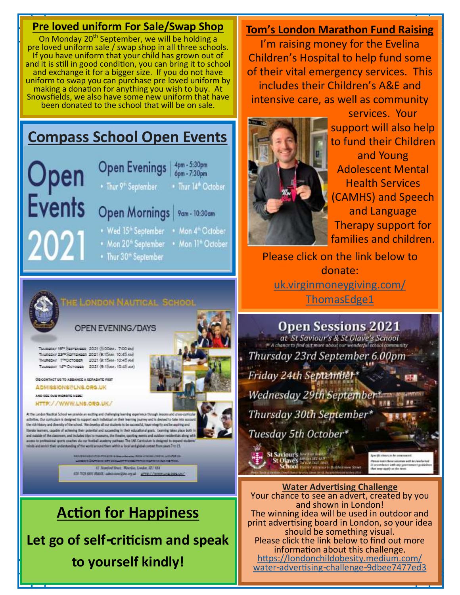### **Pre loved uniform For Sale/Swap Shop**

On Monday 20<sup>th</sup> September, we will be holding a pre loved uniform sale / swap shop in all three schools. If you have uniform that your child has grown out of and it is still in good condition, you can bring it to school and exchange it for a bigger size. If you do not have uniform to swap you can purchase pre loved uniform by making a donation for anything you wish to buy. At Snowsfields, we also have some new uniform that have been donated to the school that will be on sale.

### **Compass School Open Events**

Jpen Events

- **Open Evenings** 4pm - 5:30pm 6pm - 7:30pm • Thur 9<sup>th</sup> September . Thur 14<sup>th</sup> October Open Mornings | 9am - 10:30am
- . Wed 15<sup>th</sup> September . Mon 4<sup>th</sup> October
- . Mon 20<sup>th</sup> September . Mon 11<sup>th</sup> October
- Thur 30<sup>th</sup> September
- HE LONDON NAUTICAL SCHOOL

#### **OPEN EVENING/DAYS**

187\* SEPTEMBER 2021 (5:00 PM - 7:00 PM) THURGEAY 23" SEPTEMBER 2021 (9:15AM - 10:45 AM) THURGDAY 77 OCTOBER 2021 (B:15AM-10:45 AM) 14TH OCTOBER 2021 (B:15AM - 10:45 AM)

OR CONTACT US TO ARRANGE A SERABATE VIO ADMISSIONS@LNS.ORG.UK

AND SEE OUR WEBSITE HERE:

HTTP://WWW.LN6.ORG.UK/

At the London Nuutical School we provide an eacting and challenging inaming experience the activities. Our curriculum is designed to support each individual on their learning prumey and is devised to take into ac-<br>the rich history and divently of the school. We develop all our students to be successful, have int Reste learnes, capable of achieving their potential and succeeding in their educational goals. Lear and nutside of the classroom, and includes trips to museums, the theatre, sporting events and outdoor resident<br>access to professional sports coaches via mar football academy pathway. The UNS Curriculum is designed to the and entitle their to

> 61 Numbert Street, Waterlin, London, SET WAR 820 7028 (807 EMIX), advisered December 2011 2012 / 2013

## **Action for Happiness**

**Let go of self-criticism and speak to yourself kindly!**

#### **Tom's London Marathon Fund Raising**

I'm raising money for the Evelina Children's Hospital to help fund some of their vital emergency services. This includes their Children's A&E and intensive care, as well as community



services. Your support will also help to fund their Children and Young Adolescent Mental Health Services (CAMHS) and Speech and Language Therapy support for families and children.

Please click on the link below to donate: [uk.virginmoneygiving.com/](http://uk.virginmoneygiving.com/ThomasEdge1) [ThomasEdge1](http://uk.virginmoneygiving.com/ThomasEdge1)

**Open Sessions 2021** at St Saviour's & St Olave's School Thursday 23rd September 6.00pm Friday 24th September\* **Wednesday 29th September** Thursday 30th September Tuesday 5th October\* d Saviour's **Maturantil Bary's** 

**Water Advertising Challenge** Your chance to see an advert, created by you and shown in London! The winning idea will be used in outdoor and print advertising board in London, so your idea should be something visual. Please click the link below to find out more information about this challenge. [https://londonchildobesity.medium.com/](https://londonchildobesity.medium.com/water-advertising-challenge-9dbee7477ed3)  [water-advertising-challenge-9dbee7477ed3](https://londonchildobesity.medium.com/water-advertising-challenge-9dbee7477ed3)